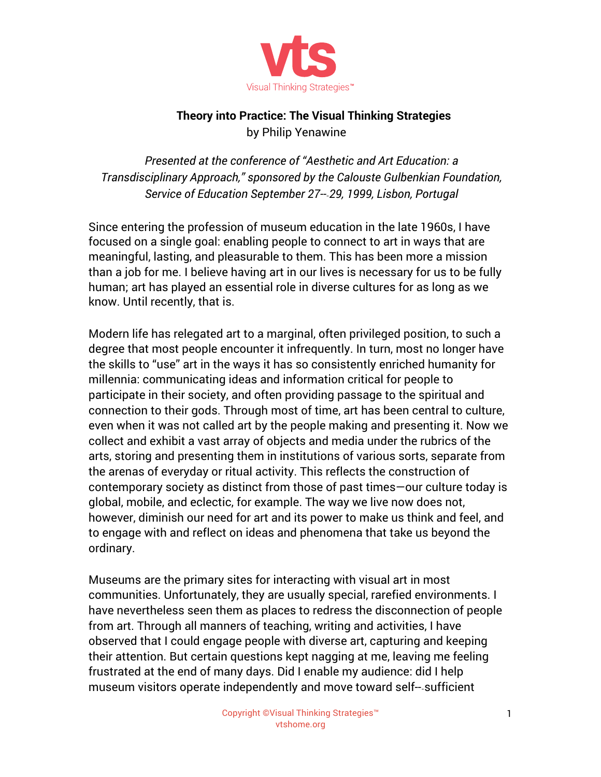

## **Theory into Practice: The Visual Thinking Strategies** by Philip Yenawine

*Presented at the conference of "Aesthetic and Art Education: a Transdisciplinary Approach," sponsored by the Calouste Gulbenkian Foundation, Service of Education September 27-‐29, 1999, Lisbon, Portugal*

Since entering the profession of museum education in the late 1960s, I have focused on a single goal: enabling people to connect to art in ways that are meaningful, lasting, and pleasurable to them. This has been more a mission than a job for me. I believe having art in our lives is necessary for us to be fully human; art has played an essential role in diverse cultures for as long as we know. Until recently, that is.

Modern life has relegated art to a marginal, often privileged position, to such a degree that most people encounter it infrequently. In turn, most no longer have the skills to "use" art in the ways it has so consistently enriched humanity for millennia: communicating ideas and information critical for people to participate in their society, and often providing passage to the spiritual and connection to their gods. Through most of time, art has been central to culture, even when it was not called art by the people making and presenting it. Now we collect and exhibit a vast array of objects and media under the rubrics of the arts, storing and presenting them in institutions of various sorts, separate from the arenas of everyday or ritual activity. This reflects the construction of contemporary society as distinct from those of past times—our culture today is global, mobile, and eclectic, for example. The way we live now does not, however, diminish our need for art and its power to make us think and feel, and to engage with and reflect on ideas and phenomena that take us beyond the ordinary.

Museums are the primary sites for interacting with visual art in most communities. Unfortunately, they are usually special, rarefied environments. I have nevertheless seen them as places to redress the disconnection of people from art. Through all manners of teaching, writing and activities, I have observed that I could engage people with diverse art, capturing and keeping their attention. But certain questions kept nagging at me, leaving me feeling frustrated at the end of many days. Did I enable my audience: did I help museum visitors operate independently and move toward self-‐sufficient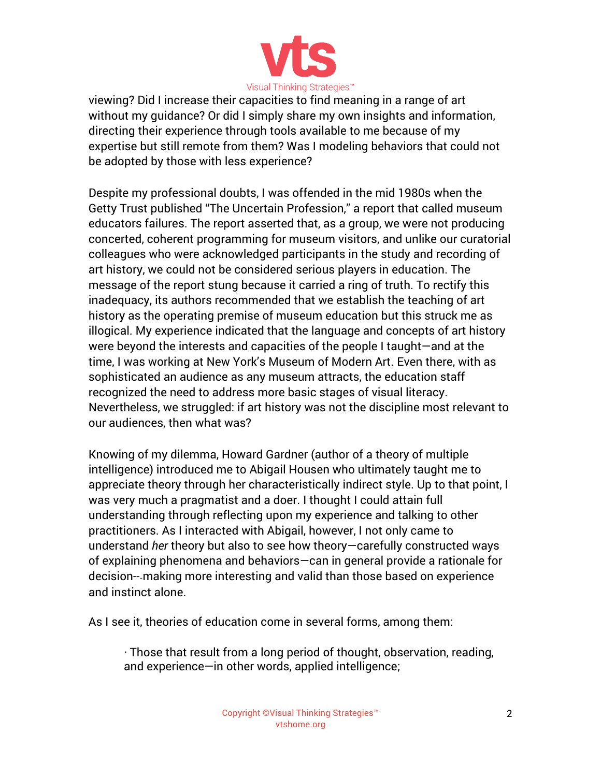

viewing? Did I increase their capacities to find meaning in a range of art without my guidance? Or did I simply share my own insights and information, directing their experience through tools available to me because of my expertise but still remote from them? Was I modeling behaviors that could not be adopted by those with less experience?

Despite my professional doubts, I was offended in the mid 1980s when the Getty Trust published "The Uncertain Profession," a report that called museum educators failures. The report asserted that, as a group, we were not producing concerted, coherent programming for museum visitors, and unlike our curatorial colleagues who were acknowledged participants in the study and recording of art history, we could not be considered serious players in education. The message of the report stung because it carried a ring of truth. To rectify this inadequacy, its authors recommended that we establish the teaching of art history as the operating premise of museum education but this struck me as illogical. My experience indicated that the language and concepts of art history were beyond the interests and capacities of the people I taught—and at the time, I was working at New York's Museum of Modern Art. Even there, with as sophisticated an audience as any museum attracts, the education staff recognized the need to address more basic stages of visual literacy. Nevertheless, we struggled: if art history was not the discipline most relevant to our audiences, then what was?

Knowing of my dilemma, Howard Gardner (author of a theory of multiple intelligence) introduced me to Abigail Housen who ultimately taught me to appreciate theory through her characteristically indirect style. Up to that point, I was very much a pragmatist and a doer. I thought I could attain full understanding through reflecting upon my experience and talking to other practitioners. As I interacted with Abigail, however, I not only came to understand *her* theory but also to see how theory—carefully constructed ways of explaining phenomena and behaviors—can in general provide a rationale for decision-‐making more interesting and valid than those based on experience and instinct alone.

As I see it, theories of education come in several forms, among them:

· Those that result from a long period of thought, observation, reading, and experience—in other words, applied intelligence;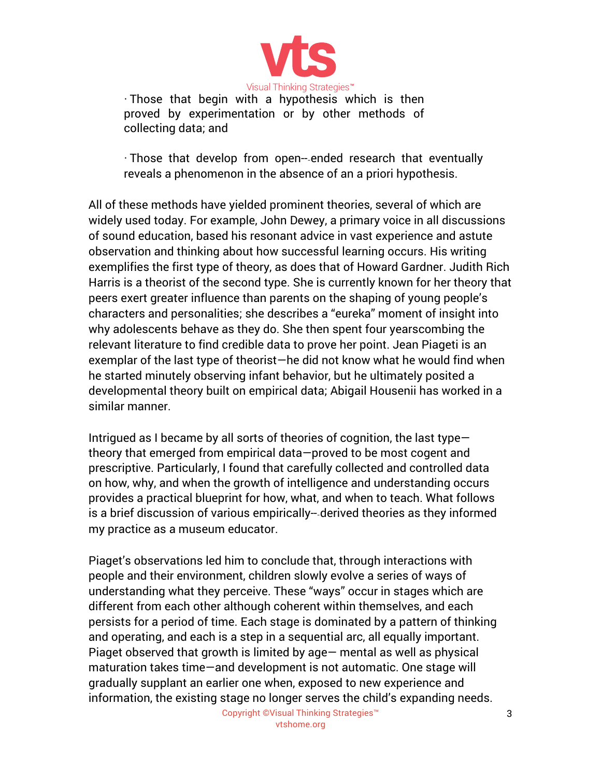

· Those that begin with a hypothesis which is then proved by experimentation or by other methods of collecting data; and

· Those that develop from open-‐ended research that eventually reveals a phenomenon in the absence of an a priori hypothesis.

All of these methods have yielded prominent theories, several of which are widely used today. For example, John Dewey, a primary voice in all discussions of sound education, based his resonant advice in vast experience and astute observation and thinking about how successful learning occurs. His writing exemplifies the first type of theory, as does that of Howard Gardner. Judith Rich Harris is a theorist of the second type. She is currently known for her theory that peers exert greater influence than parents on the shaping of young people's characters and personalities; she describes a "eureka" moment of insight into why adolescents behave as they do. She then spent four yearscombing the relevant literature to find credible data to prove her point. Jean Piageti is an exemplar of the last type of theorist—he did not know what he would find when he started minutely observing infant behavior, but he ultimately posited a developmental theory built on empirical data; Abigail Housenii has worked in a similar manner.

Intrigued as I became by all sorts of theories of cognition, the last type theory that emerged from empirical data—proved to be most cogent and prescriptive. Particularly, I found that carefully collected and controlled data on how, why, and when the growth of intelligence and understanding occurs provides a practical blueprint for how, what, and when to teach. What follows is a brief discussion of various empirically-‐derived theories as they informed my practice as a museum educator.

Piaget's observations led him to conclude that, through interactions with people and their environment, children slowly evolve a series of ways of understanding what they perceive. These "ways" occur in stages which are different from each other although coherent within themselves, and each persists for a period of time. Each stage is dominated by a pattern of thinking and operating, and each is a step in a sequential arc, all equally important. Piaget observed that growth is limited by age— mental as well as physical maturation takes time—and development is not automatic. One stage will gradually supplant an earlier one when, exposed to new experience and information, the existing stage no longer serves the child's expanding needs.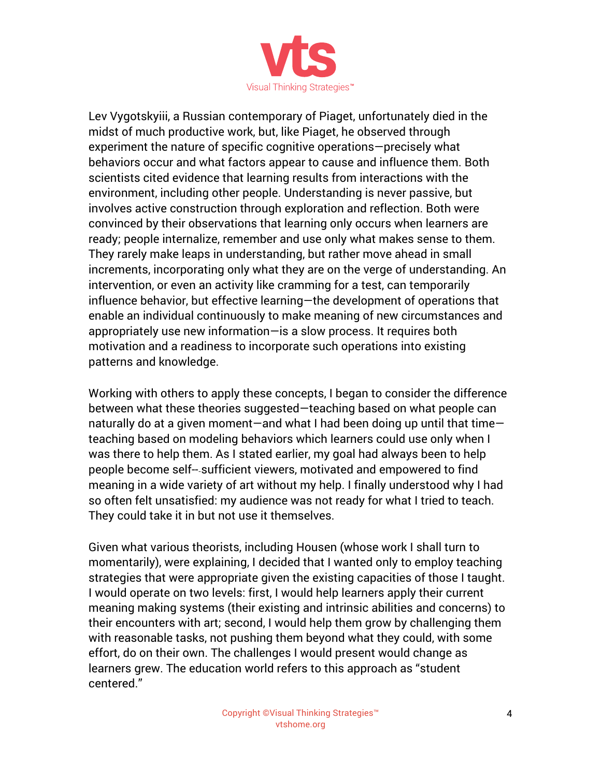

Lev Vygotskyiii, a Russian contemporary of Piaget, unfortunately died in the midst of much productive work, but, like Piaget, he observed through experiment the nature of specific cognitive operations—precisely what behaviors occur and what factors appear to cause and influence them. Both scientists cited evidence that learning results from interactions with the environment, including other people. Understanding is never passive, but involves active construction through exploration and reflection. Both were convinced by their observations that learning only occurs when learners are ready; people internalize, remember and use only what makes sense to them. They rarely make leaps in understanding, but rather move ahead in small increments, incorporating only what they are on the verge of understanding. An intervention, or even an activity like cramming for a test, can temporarily influence behavior, but effective learning—the development of operations that enable an individual continuously to make meaning of new circumstances and appropriately use new information—is a slow process. It requires both motivation and a readiness to incorporate such operations into existing patterns and knowledge.

Working with others to apply these concepts, I began to consider the difference between what these theories suggested—teaching based on what people can naturally do at a given moment—and what I had been doing up until that time teaching based on modeling behaviors which learners could use only when I was there to help them. As I stated earlier, my goal had always been to help people become self-‐sufficient viewers, motivated and empowered to find meaning in a wide variety of art without my help. I finally understood why I had so often felt unsatisfied: my audience was not ready for what I tried to teach. They could take it in but not use it themselves.

Given what various theorists, including Housen (whose work I shall turn to momentarily), were explaining, I decided that I wanted only to employ teaching strategies that were appropriate given the existing capacities of those I taught. I would operate on two levels: first, I would help learners apply their current meaning making systems (their existing and intrinsic abilities and concerns) to their encounters with art; second, I would help them grow by challenging them with reasonable tasks, not pushing them beyond what they could, with some effort, do on their own. The challenges I would present would change as learners grew. The education world refers to this approach as "student centered."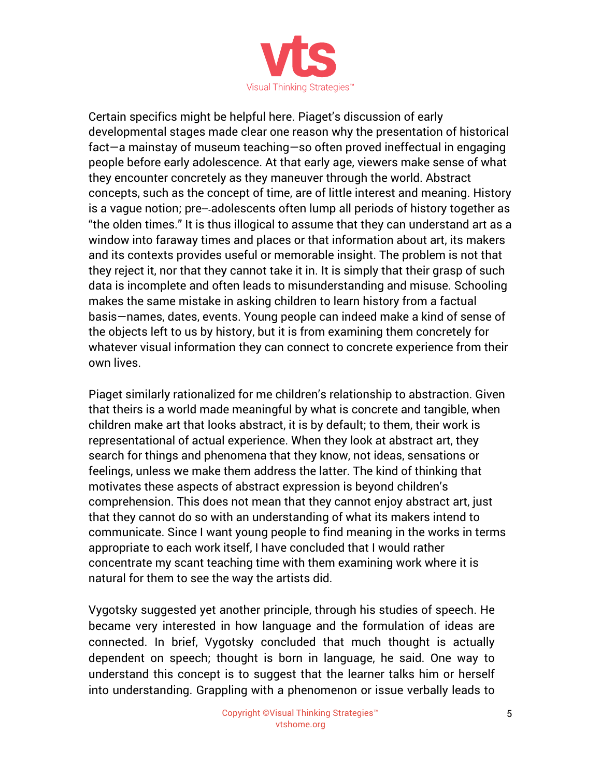

Certain specifics might be helpful here. Piaget's discussion of early developmental stages made clear one reason why the presentation of historical fact—a mainstay of museum teaching—so often proved ineffectual in engaging people before early adolescence. At that early age, viewers make sense of what they encounter concretely as they maneuver through the world. Abstract concepts, such as the concept of time, are of little interest and meaning. History is a vague notion; pre-‐adolescents often lump all periods of history together as "the olden times." It is thus illogical to assume that they can understand art as a window into faraway times and places or that information about art, its makers and its contexts provides useful or memorable insight. The problem is not that they reject it, nor that they cannot take it in. It is simply that their grasp of such data is incomplete and often leads to misunderstanding and misuse. Schooling makes the same mistake in asking children to learn history from a factual basis—names, dates, events. Young people can indeed make a kind of sense of the objects left to us by history, but it is from examining them concretely for whatever visual information they can connect to concrete experience from their own lives.

Piaget similarly rationalized for me children's relationship to abstraction. Given that theirs is a world made meaningful by what is concrete and tangible, when children make art that looks abstract, it is by default; to them, their work is representational of actual experience. When they look at abstract art, they search for things and phenomena that they know, not ideas, sensations or feelings, unless we make them address the latter. The kind of thinking that motivates these aspects of abstract expression is beyond children's comprehension. This does not mean that they cannot enjoy abstract art, just that they cannot do so with an understanding of what its makers intend to communicate. Since I want young people to find meaning in the works in terms appropriate to each work itself, I have concluded that I would rather concentrate my scant teaching time with them examining work where it is natural for them to see the way the artists did.

Vygotsky suggested yet another principle, through his studies of speech. He became very interested in how language and the formulation of ideas are connected. In brief, Vygotsky concluded that much thought is actually dependent on speech; thought is born in language, he said. One way to understand this concept is to suggest that the learner talks him or herself into understanding. Grappling with a phenomenon or issue verbally leads to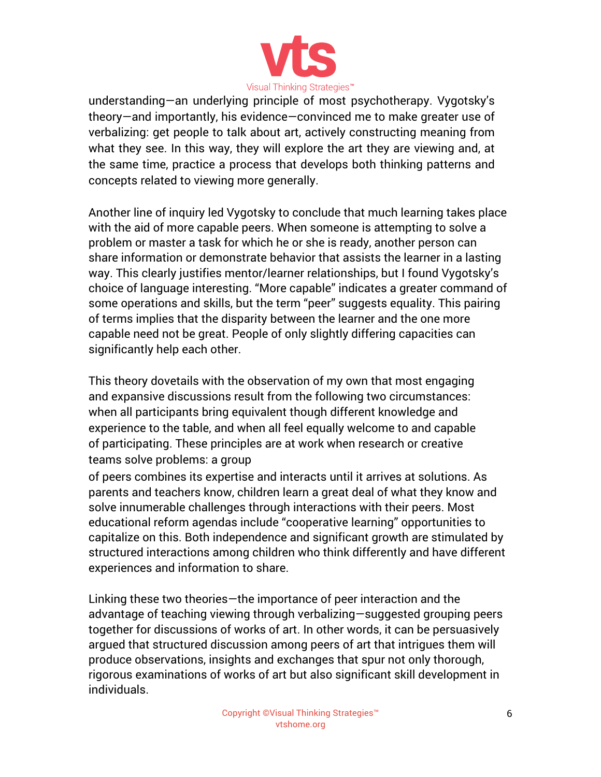

understanding—an underlying principle of most psychotherapy. Vygotsky's theory—and importantly, his evidence—convinced me to make greater use of verbalizing: get people to talk about art, actively constructing meaning from what they see. In this way, they will explore the art they are viewing and, at the same time, practice a process that develops both thinking patterns and concepts related to viewing more generally.

Another line of inquiry led Vygotsky to conclude that much learning takes place with the aid of more capable peers. When someone is attempting to solve a problem or master a task for which he or she is ready, another person can share information or demonstrate behavior that assists the learner in a lasting way. This clearly justifies mentor/learner relationships, but I found Vygotsky's choice of language interesting. "More capable" indicates a greater command of some operations and skills, but the term "peer" suggests equality. This pairing of terms implies that the disparity between the learner and the one more capable need not be great. People of only slightly differing capacities can significantly help each other.

This theory dovetails with the observation of my own that most engaging and expansive discussions result from the following two circumstances: when all participants bring equivalent though different knowledge and experience to the table, and when all feel equally welcome to and capable of participating. These principles are at work when research or creative teams solve problems: a group

of peers combines its expertise and interacts until it arrives at solutions. As parents and teachers know, children learn a great deal of what they know and solve innumerable challenges through interactions with their peers. Most educational reform agendas include "cooperative learning" opportunities to capitalize on this. Both independence and significant growth are stimulated by structured interactions among children who think differently and have different experiences and information to share.

Linking these two theories—the importance of peer interaction and the advantage of teaching viewing through verbalizing—suggested grouping peers together for discussions of works of art. In other words, it can be persuasively argued that structured discussion among peers of art that intrigues them will produce observations, insights and exchanges that spur not only thorough, rigorous examinations of works of art but also significant skill development in individuals.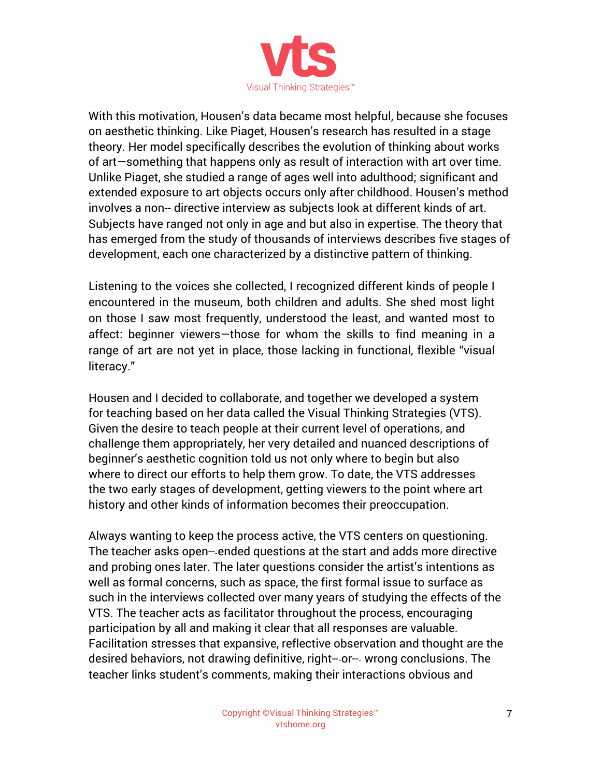

With this motivation, Housen's data became most helpful, because she focuses on aesthetic thinking. Like Piaget, Housen's research has resulted in a stage theory. Her model specifically describes the evolution of thinking about works of art—something that happens only as result of interaction with art over time. Unlike Piaget, she studied a range of ages well into adulthood; significant and extended exposure to art objects occurs only after childhood. Housen's method involves a non-‐directive interview as subjects look at different kinds of art. Subjects have ranged not only in age and but also in expertise. The theory that has emerged from the study of thousands of interviews describes five stages of development, each one characterized by a distinctive pattern of thinking.

Listening to the voices she collected, I recognized different kinds of people I encountered in the museum, both children and adults. She shed most light on those I saw most frequently, understood the least, and wanted most to affect: beginner viewers—those for whom the skills to find meaning in a range of art are not yet in place, those lacking in functional, flexible "visual literacy."

Housen and I decided to collaborate, and together we developed a system for teaching based on her data called the Visual Thinking Strategies (VTS). Given the desire to teach people at their current level of operations, and challenge them appropriately, her very detailed and nuanced descriptions of beginner's aesthetic cognition told us not only where to begin but also where to direct our efforts to help them grow. To date, the VTS addresses the two early stages of development, getting viewers to the point where art history and other kinds of information becomes their preoccupation.

Always wanting to keep the process active, the VTS centers on questioning. The teacher asks open-‐ended questions at the start and adds more directive and probing ones later. The later questions consider the artist's intentions as well as formal concerns, such as space, the first formal issue to surface as such in the interviews collected over many years of studying the effects of the VTS. The teacher acts as facilitator throughout the process, encouraging participation by all and making it clear that all responses are valuable. Facilitation stresses that expansive, reflective observation and thought are the desired behaviors, not drawing definitive, right-‐or-‐ wrong conclusions. The teacher links student's comments, making their interactions obvious and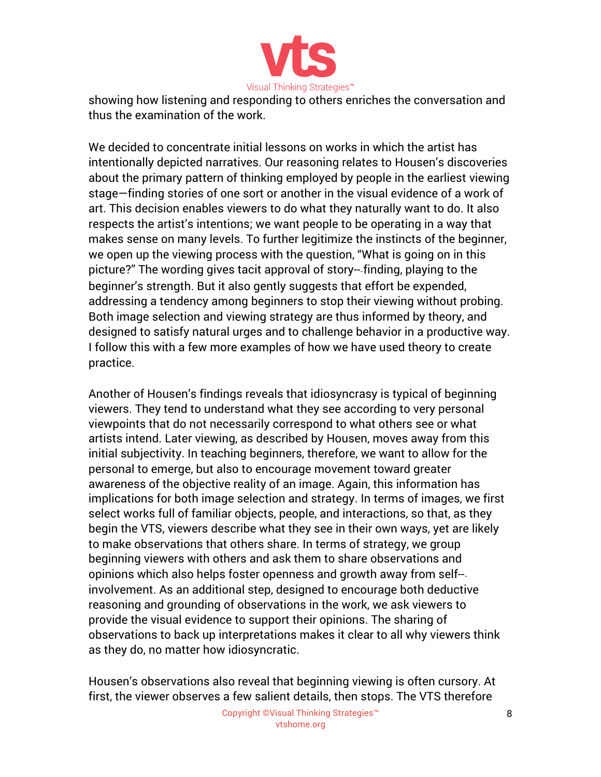

showing how listening and responding to others enriches the conversation and thus the examination of the work.

We decided to concentrate initial lessons on works in which the artist has intentionally depicted narratives. Our reasoning relates to Housen's discoveries about the primary pattern of thinking employed by people in the earliest viewing stage—finding stories of one sort or another in the visual evidence of a work of art. This decision enables viewers to do what they naturally want to do. It also respects the artist's intentions; we want people to be operating in a way that makes sense on many levels. To further legitimize the instincts of the beginner, we open up the viewing process with the question, "What is going on in this picture?" The wording gives tacit approval of story-‐finding, playing to the beginner's strength. But it also gently suggests that effort be expended, addressing a tendency among beginners to stop their viewing without probing. Both image selection and viewing strategy are thus informed by theory, and designed to satisfy natural urges and to challenge behavior in a productive way. I follow this with a few more examples of how we have used theory to create practice.

Another of Housen's findings reveals that idiosyncrasy is typical of beginning viewers. They tend to understand what they see according to very personal viewpoints that do not necessarily correspond to what others see or what artists intend. Later viewing, as described by Housen, moves away from this initial subjectivity. In teaching beginners, therefore, we want to allow for the personal to emerge, but also to encourage movement toward greater awareness of the objective reality of an image. Again, this information has implications for both image selection and strategy. In terms of images, we first select works full of familiar objects, people, and interactions, so that, as they begin the VTS, viewers describe what they see in their own ways, yet are likely to make observations that others share. In terms of strategy, we group beginning viewers with others and ask them to share observations and opinions which also helps foster openness and growth away from self-‐ involvement. As an additional step, designed to encourage both deductive reasoning and grounding of observations in the work, we ask viewers to provide the visual evidence to support their opinions. The sharing of observations to back up interpretations makes it clear to all why viewers think as they do, no matter how idiosyncratic.

Housen's observations also reveal that beginning viewing is often cursory. At first, the viewer observes a few salient details, then stops. The VTS therefore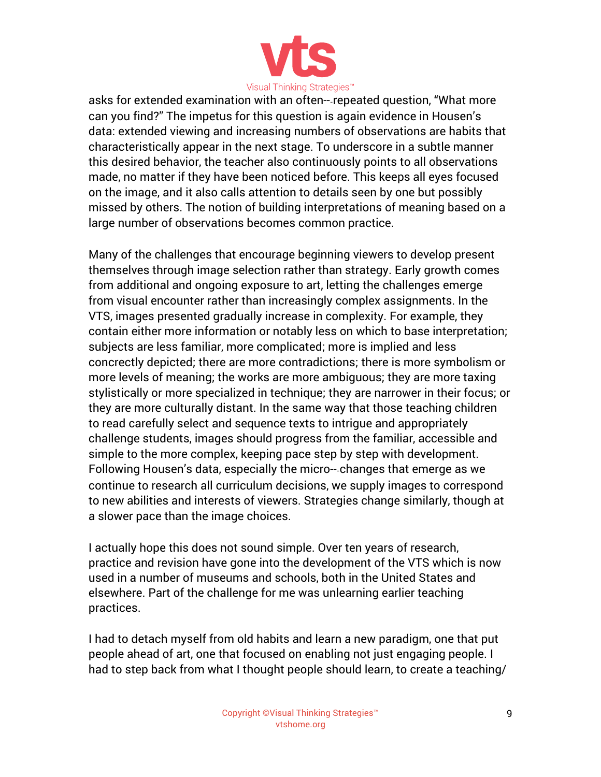

asks for extended examination with an often-‐repeated question, "What more can you find?" The impetus for this question is again evidence in Housen's data: extended viewing and increasing numbers of observations are habits that characteristically appear in the next stage. To underscore in a subtle manner this desired behavior, the teacher also continuously points to all observations made, no matter if they have been noticed before. This keeps all eyes focused on the image, and it also calls attention to details seen by one but possibly missed by others. The notion of building interpretations of meaning based on a large number of observations becomes common practice.

Many of the challenges that encourage beginning viewers to develop present themselves through image selection rather than strategy. Early growth comes from additional and ongoing exposure to art, letting the challenges emerge from visual encounter rather than increasingly complex assignments. In the VTS, images presented gradually increase in complexity. For example, they contain either more information or notably less on which to base interpretation; subjects are less familiar, more complicated; more is implied and less concrectly depicted; there are more contradictions; there is more symbolism or more levels of meaning; the works are more ambiguous; they are more taxing stylistically or more specialized in technique; they are narrower in their focus; or they are more culturally distant. In the same way that those teaching children to read carefully select and sequence texts to intrigue and appropriately challenge students, images should progress from the familiar, accessible and simple to the more complex, keeping pace step by step with development. Following Housen's data, especially the micro-‐changes that emerge as we continue to research all curriculum decisions, we supply images to correspond to new abilities and interests of viewers. Strategies change similarly, though at a slower pace than the image choices.

I actually hope this does not sound simple. Over ten years of research, practice and revision have gone into the development of the VTS which is now used in a number of museums and schools, both in the United States and elsewhere. Part of the challenge for me was unlearning earlier teaching practices.

I had to detach myself from old habits and learn a new paradigm, one that put people ahead of art, one that focused on enabling not just engaging people. I had to step back from what I thought people should learn, to create a teaching/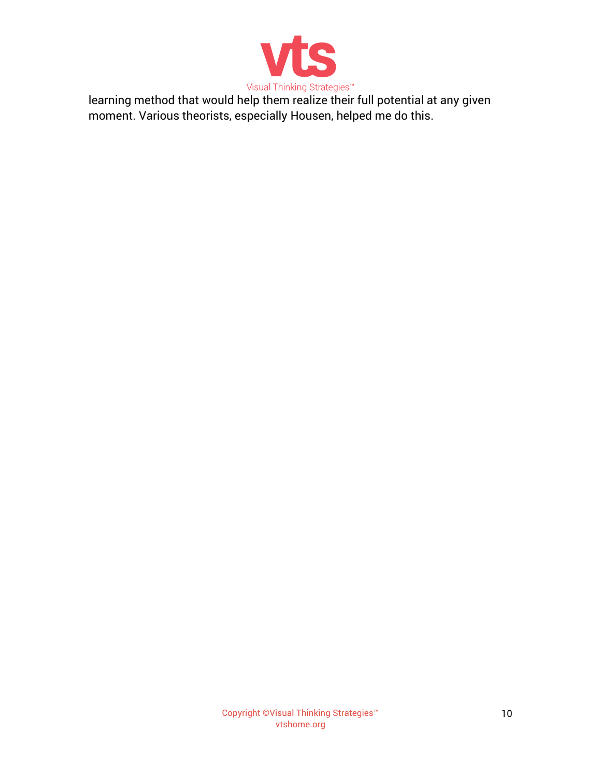

learning method that would help them realize their full potential at any given moment. Various theorists, especially Housen, helped me do this.